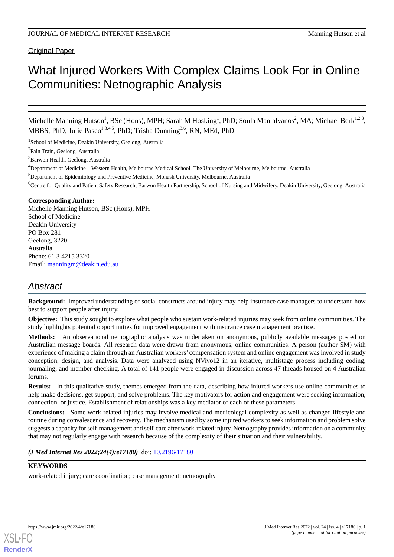### Original Paper

# What Injured Workers With Complex Claims Look For in Online Communities: Netnographic Analysis

Michelle Manning Hutson<sup>1</sup>, BSc (Hons), MPH; Sarah M Hosking<sup>1</sup>, PhD; Soula Mantalvanos<sup>2</sup>, MA; Michael Berk<sup>1,2,3</sup>, MBBS, PhD; Julie Pasco<sup>1,3,4,5</sup>, PhD; Trisha Dunning<sup>3,6</sup>, RN, MEd, PhD

<sup>1</sup>School of Medicine, Deakin University, Geelong, Australia

<sup>2</sup>Pain Train, Geelong, Australia

<sup>3</sup>Barwon Health, Geelong, Australia

<sup>5</sup>Department of Epidemiology and Preventive Medicine, Monash University, Melbourne, Australia

<sup>6</sup>Centre for Quality and Patient Safety Research, Barwon Health Partnership, School of Nursing and Midwifery, Deakin University, Geelong, Australia

### **Corresponding Author:**

Michelle Manning Hutson, BSc (Hons), MPH School of Medicine Deakin University PO Box 281 Geelong, 3220 Australia Phone: 61 3 4215 3320 Email: [manningm@deakin.edu.au](mailto:manningm@deakin.edu.au)

## *Abstract*

**Background:** Improved understanding of social constructs around injury may help insurance case managers to understand how best to support people after injury.

**Objective:** This study sought to explore what people who sustain work-related injuries may seek from online communities. The study highlights potential opportunities for improved engagement with insurance case management practice.

**Methods:** An observational netnographic analysis was undertaken on anonymous, publicly available messages posted on Australian message boards. All research data were drawn from anonymous, online communities. A person (author SM) with experience of making a claim through an Australian workers' compensation system and online engagement was involved in study conception, design, and analysis. Data were analyzed using NVivo12 in an iterative, multistage process including coding, journaling, and member checking. A total of 141 people were engaged in discussion across 47 threads housed on 4 Australian forums.

**Results:** In this qualitative study, themes emerged from the data, describing how injured workers use online communities to help make decisions, get support, and solve problems. The key motivators for action and engagement were seeking information, connection, or justice. Establishment of relationships was a key mediator of each of these parameters.

**Conclusions:** Some work-related injuries may involve medical and medicolegal complexity as well as changed lifestyle and routine during convalescence and recovery. The mechanism used by some injured workers to seek information and problem solve suggests a capacity for self-management and self-care after work-related injury. Netnography provides information on a community that may not regularly engage with research because of the complexity of their situation and their vulnerability.

### *(J Med Internet Res 2022;24(4):e17180)* doi:  $10.2196/17180$

### **KEYWORDS**

work-related injury; care coordination; case management; netnography

[XSL](http://www.w3.org/Style/XSL)•FO **[RenderX](http://www.renderx.com/)**

<sup>4</sup>Department of Medicine – Western Health, Melbourne Medical School, The University of Melbourne, Melbourne, Australia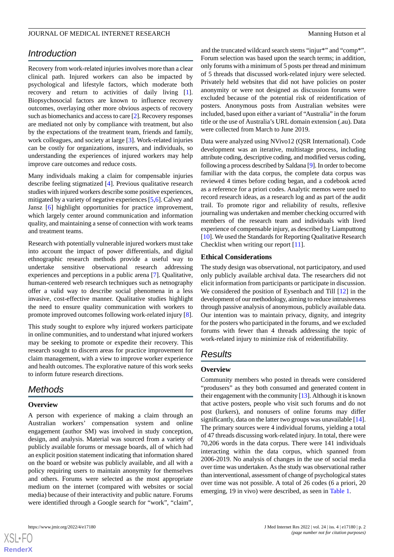### *Introduction*

Recovery from work-related injuries involves more than a clear clinical path. Injured workers can also be impacted by psychological and lifestyle factors, which moderate both recovery and return to activities of daily living [[1\]](#page-6-0). Biopsychosocial factors are known to influence recovery outcomes, overlaying other more obvious aspects of recovery such as biomechanics and access to care [\[2\]](#page-6-1). Recovery responses are mediated not only by compliance with treatment, but also by the expectations of the treatment team, friends and family, work colleagues, and society at large [[3\]](#page-6-2). Work-related injuries can be costly for organizations, insurers, and individuals, so understanding the experiences of injured workers may help improve care outcomes and reduce costs.

Many individuals making a claim for compensable injuries describe feeling stigmatized [[4\]](#page-6-3). Previous qualitative research studies with injured workers describe some positive experiences, mitigated by a variety of negative experiences [\[5](#page-6-4),[6\]](#page-6-5). Calvey and Jansz [\[6](#page-6-5)] highlight opportunities for practice improvement, which largely center around communication and information quality, and maintaining a sense of connection with work teams and treatment teams.

Research with potentially vulnerable injured workers must take into account the impact of power differentials, and digital ethnographic research methods provide a useful way to undertake sensitive observational research addressing experiences and perceptions in a public arena [[7](#page-6-6)]. Qualitative, human-centered web research techniques such as netnography offer a valid way to describe social phenomena in a less invasive, cost-effective manner. Qualitative studies highlight the need to ensure quality communication with workers to promote improved outcomes following work-related injury [[8\]](#page-6-7).

This study sought to explore why injured workers participate in online communities, and to understand what injured workers may be seeking to promote or expedite their recovery. This research sought to discern areas for practice improvement for claim management, with a view to improve worker experience and health outcomes. The explorative nature of this work seeks to inform future research directions.

### *Methods*

### **Overview**

A person with experience of making a claim through an Australian workers' compensation system and online engagement (author SM) was involved in study conception, design, and analysis. Material was sourced from a variety of publicly available forums or message boards, all of which had an explicit position statement indicating that information shared on the board or website was publicly available, and all with a policy requiring users to maintain anonymity for themselves and others. Forums were selected as the most appropriate medium on the internet (compared with websites or social media) because of their interactivity and public nature. Forums were identified through a Google search for "work", "claim",

and the truncated wildcard search stems "injur\*" and "comp\*". Forum selection was based upon the search terms; in addition, only forums with a minimum of 5 posts per thread and minimum of 5 threads that discussed work-related injury were selected. Privately held websites that did not have policies on poster anonymity or were not designed as discussion forums were excluded because of the potential risk of reidentification of posters. Anonymous posts from Australian websites were included, based upon either a variant of "Australia" in the forum title or the use of Australia's URL domain extension (.au). Data were collected from March to June 2019.

Data were analyzed using NVivo12 (QSR International). Code development was an iterative, multistage process, including attribute coding, descriptive coding, and modified versus coding, following a process described by Saldana [[9\]](#page-6-8). In order to become familiar with the data corpus, the complete data corpus was reviewed 4 times before coding began, and a codebook acted as a reference for a priori codes. Analytic memos were used to record research ideas, as a research log and as part of the audit trail. To promote rigor and reliability of results, reflexive journaling was undertaken and member checking occurred with members of the research team and individuals with lived experience of compensable injury, as described by Liamputtong [[10\]](#page-6-9). We used the Standards for Reporting Qualitative Research Checklist when writing our report [\[11](#page-6-10)].

#### **Ethical Considerations**

The study design was observational, not participatory, and used only publicly available archival data. The researchers did not elicit information from participants or participate in discussion. We considered the position of Eysenbach and Till [\[12](#page-6-11)] in the development of our methodology, aiming to reduce intrusiveness through passive analysis of anonymous, publicly available data. Our intention was to maintain privacy, dignity, and integrity for the posters who participated in the forums, and we excluded forums with fewer than 4 threads addressing the topic of work-related injury to minimize risk of reidentifiability.

### *Results*

### **Overview**

Community members who posted in threads were considered "produsers" as they both consumed and generated content in their engagement with the community  $[13]$  $[13]$ . Although it is known that active posters, people who visit such forums and do not post (lurkers), and nonusers of online forums may differ significantly, data on the latter two groups was unavailable [\[14](#page-6-13)]. The primary sources were 4 individual forums, yielding a total of 47 threads discussing work-related injury. In total, there were 70,206 words in the data corpus. There were 141 individuals interacting within the data corpus, which spanned from 2006-2019. No analysis of changes in the use of social media over time was undertaken. As the study was observational rather than interventional, assessment of change of psychological states over time was not possible. A total of 26 codes (6 a priori, 20 emerging, 19 in vivo) were described, as seen in [Table 1](#page-2-0).

 $XSI - F($ **[RenderX](http://www.renderx.com/)**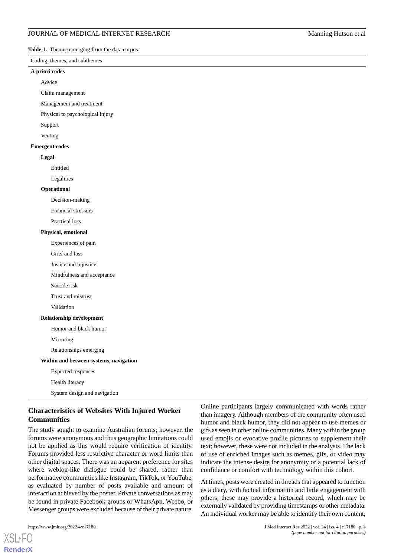<span id="page-2-0"></span>**Table 1.** Themes emerging from the data corpus.

#### Coding, themes, and subthemes

#### **A priori codes**

Advice

Claim management

Management and treatment

Physical to psychological injury

Support

Venting

#### **Emergent codes**

#### **Legal**

Entitled

Legalities

#### **Operational**

Decision-making

Financial stressors

Practical loss

#### **Physical, emotional**

Experiences of pain

Grief and loss

Justice and injustice

Mindfulness and acceptance

Suicide risk

Trust and mistrust

Validation

#### **Relationship development**

Humor and black humor

Mirroring

Relationships emerging

### **Within and between systems, navigation**

Expected responses

Health literacy

System design and navigation

### **Characteristics of Websites With Injured Worker Communities**

The study sought to examine Australian forums; however, the forums were anonymous and thus geographic limitations could not be applied as this would require verification of identity. Forums provided less restrictive character or word limits than other digital spaces. There was an apparent preference for sites where weblog-like dialogue could be shared, rather than performative communities like Instagram, TikTok, or YouTube, as evaluated by number of posts available and amount of interaction achieved by the poster. Private conversations as may be found in private Facebook groups or WhatsApp, Weebo, or Messenger groups were excluded because of their private nature.

[XSL](http://www.w3.org/Style/XSL)•FO **[RenderX](http://www.renderx.com/)**

Online participants largely communicated with words rather than imagery. Although members of the community often used humor and black humor, they did not appear to use memes or gifs as seen in other online communities. Many within the group used emojis or evocative profile pictures to supplement their text; however, these were not included in the analysis. The lack of use of enriched images such as memes, gifs, or video may indicate the intense desire for anonymity or a potential lack of confidence or comfort with technology within this cohort.

At times, posts were created in threads that appeared to function as a diary, with factual information and little engagement with others; these may provide a historical record, which may be externally validated by providing timestamps or other metadata. An individual worker may be able to identify their own content;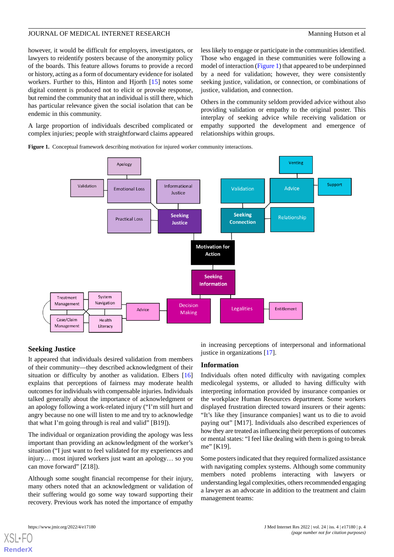however, it would be difficult for employers, investigators, or lawyers to reidentify posters because of the anonymity policy of the boards. This feature allows forums to provide a record or history, acting as a form of documentary evidence for isolated workers. Further to this, Hinton and Hjorth [[15\]](#page-6-14) notes some digital content is produced not to elicit or provoke response, but remind the community that an individual is still there, which has particular relevance given the social isolation that can be endemic in this community.

less likely to engage or participate in the communities identified. Those who engaged in these communities were following a model of interaction ([Figure 1\)](#page-3-0) that appeared to be underpinned by a need for validation; however, they were consistently seeking justice, validation, or connection, or combinations of justice, validation, and connection.

Others in the community seldom provided advice without also providing validation or empathy to the original poster. This interplay of seeking advice while receiving validation or empathy supported the development and emergence of relationships within groups.

<span id="page-3-0"></span>A large proportion of individuals described complicated or complex injuries; people with straightforward claims appeared

**Figure 1.** Conceptual framework describing motivation for injured worker community interactions.



### **Seeking Justice**

It appeared that individuals desired validation from members of their community—they described acknowledgment of their situation or difficulty by another as validation. Elbers [\[16](#page-6-15)] explains that perceptions of fairness may moderate health outcomes for individuals with compensable injuries. Individuals talked generally about the importance of acknowledgment or an apology following a work-related injury ("I'm still hurt and angry because no one will listen to me and try to acknowledge that what I'm going through is real and valid" [B19]).

The individual or organization providing the apology was less important than providing an acknowledgment of the worker's situation ("I just want to feel validated for my experiences and injury… most injured workers just want an apology… so you can move forward" [Z18]).

Although some sought financial recompense for their injury, many others noted that an acknowledgment or validation of their suffering would go some way toward supporting their recovery. Previous work has noted the importance of empathy

in increasing perceptions of interpersonal and informational justice in organizations [\[17](#page-6-16)].

### **Information**

Individuals often noted difficulty with navigating complex medicolegal systems, or alluded to having difficulty with interpreting information provided by insurance companies or the workplace Human Resources department. Some workers displayed frustration directed toward insurers or their agents: "It's like they [insurance companies] want us to die to avoid paying out" [M17]. Individuals also described experiences of how they are treated as influencing their perceptions of outcomes or mental states: "I feel like dealing with them is going to break me" [K19].

Some posters indicated that they required formalized assistance with navigating complex systems. Although some community members noted problems interacting with lawyers or understanding legal complexities, others recommended engaging a lawyer as an advocate in addition to the treatment and claim management teams:

[XSL](http://www.w3.org/Style/XSL)•FO **[RenderX](http://www.renderx.com/)**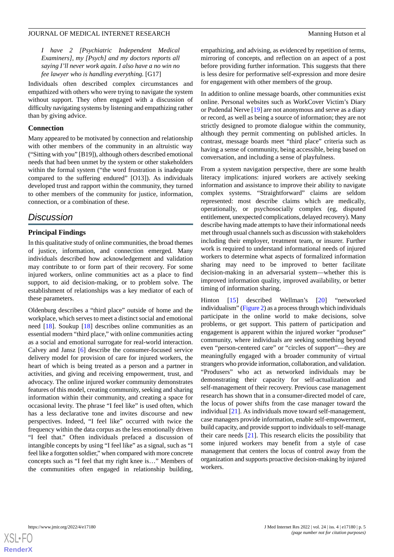*I have 2 [Psychiatric Independent Medical Examiners], my [Psych] and my doctors reports all saying I'll never work again. I also have a no win no fee lawyer who is handling everything.* [G17]

Individuals often described complex circumstances and empathized with others who were trying to navigate the system without support. They often engaged with a discussion of difficulty navigating systems by listening and empathizing rather than by giving advice.

### **Connection**

Many appeared to be motivated by connection and relationship with other members of the community in an altruistic way ("Sitting with you" [B19]), although others described emotional needs that had been unmet by the system or other stakeholders within the formal system ("the word frustration is inadequate compared to the suffering endured" [O13]). As individuals developed trust and rapport within the community, they turned to other members of the community for justice, information, connection, or a combination of these.

### *Discussion*

### **Principal Findings**

In this qualitative study of online communities, the broad themes of justice, information, and connection emerged. Many individuals described how acknowledgement and validation may contribute to or form part of their recovery. For some injured workers, online communities act as a place to find support, to aid decision-making, or to problem solve. The establishment of relationships was a key mediator of each of these parameters.

Oldenburg describes a "third place" outside of home and the workplace, which serves to meet a distinct social and emotional need [[18\]](#page-6-17). Soukup [\[18](#page-6-17)] describes online communities as an essential modern "third place," with online communities acting as a social and emotional surrogate for real-world interaction. Calvey and Jansz [\[6](#page-6-5)] describe the consumer-focused service delivery model for provision of care for injured workers, the heart of which is being treated as a person and a partner in activities, and giving and receiving empowerment, trust, and advocacy. The online injured worker community demonstrates features of this model, creating community, seeking and sharing information within their community, and creating a space for occasional levity. The phrase "I feel like" is used often, which has a less declarative tone and invites discourse and new perspectives. Indeed, "I feel like" occurred with twice the frequency within the data corpus as the less emotionally driven "I feel that." Often individuals prefaced a discussion of intangible concepts by using "I feel like" as a signal, such as "I feel like a forgotten soldier," when compared with more concrete concepts such as "I feel that my right knee is…" Members of the communities often engaged in relationship building,

empathizing, and advising, as evidenced by repetition of terms, mirroring of concepts, and reflection on an aspect of a post before providing further information. This suggests that there is less desire for performative self-expression and more desire for engagement with other members of the group.

In addition to online message boards, other communities exist online. Personal websites such as WorkCover Victim's Diary or Pudendal Nerve [\[19](#page-6-18)] are not anonymous and serve as a diary or record, as well as being a source of information; they are not strictly designed to promote dialogue within the community, although they permit commenting on published articles. In contrast, message boards meet "third place" criteria such as having a sense of community, being accessible, being based on conversation, and including a sense of playfulness.

From a system navigation perspective, there are some health literacy implications: injured workers are actively seeking information and assistance to improve their ability to navigate complex systems. "Straightforward" claims are seldom represented: most describe claims which are medically, operationally, or psychosocially complex (eg, disputed entitlement, unexpected complications, delayed recovery). Many describe having made attempts to have their informational needs met through usual channels such as discussion with stakeholders including their employer, treatment team, or insurer. Further work is required to understand informational needs of injured workers to determine what aspects of formalized information sharing may need to be improved to better facilitate decision-making in an adversarial system—whether this is improved information quality, improved availability, or better timing of information sharing.

Hinton [[15\]](#page-6-14) described Wellman's [[20\]](#page-6-19) "networked individualism" ([Figure 2\)](#page-5-0) as a process through which individuals participate in the online world to make decisions, solve problems, or get support. This pattern of participation and engagement is apparent within the injured worker "produser" community, where individuals are seeking something beyond even "person-centered care" or "circles of support"—they are meaningfully engaged with a broader community of virtual strangers who provide information, collaboration, and validation. "Produsers" who act as networked individuals may be demonstrating their capacity for self-actualization and self-management of their recovery. Previous case management research has shown that in a consumer-directed model of care, the locus of power shifts from the case manager toward the individual [[21\]](#page-6-20). As individuals move toward self-management, case managers provide information, enable self-empowerment, build capacity, and provide support to individuals to self-manage their care needs [\[21](#page-6-20)]. This research elicits the possibility that some injured workers may benefit from a style of case management that centers the locus of control away from the organization and supports proactive decision-making by injured workers.

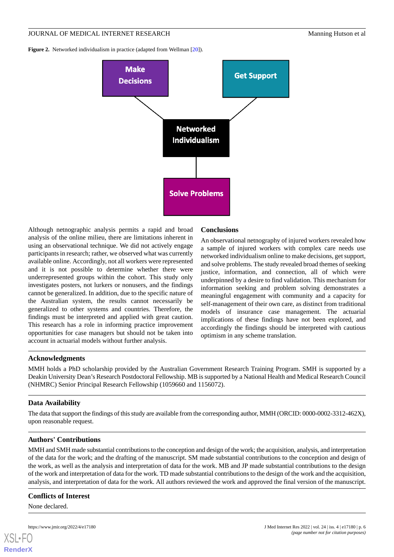<span id="page-5-0"></span>**Figure 2.** Networked individualism in practice (adapted from Wellman [[20](#page-6-19)]).



Although netnographic analysis permits a rapid and broad analysis of the online milieu, there are limitations inherent in using an observational technique. We did not actively engage participants in research; rather, we observed what was currently available online. Accordingly, not all workers were represented and it is not possible to determine whether there were underrepresented groups within the cohort. This study only investigates posters, not lurkers or nonusers, and the findings cannot be generalized. In addition, due to the specific nature of the Australian system, the results cannot necessarily be generalized to other systems and countries. Therefore, the findings must be interpreted and applied with great caution. This research has a role in informing practice improvement opportunities for case managers but should not be taken into account in actuarial models without further analysis.

### **Conclusions**

An observational netnography of injured workers revealed how a sample of injured workers with complex care needs use networked individualism online to make decisions, get support, and solve problems. The study revealed broad themes of seeking justice, information, and connection, all of which were underpinned by a desire to find validation. This mechanism for information seeking and problem solving demonstrates a meaningful engagement with community and a capacity for self-management of their own care, as distinct from traditional models of insurance case management. The actuarial implications of these findings have not been explored, and accordingly the findings should be interpreted with cautious optimism in any scheme translation.

### **Acknowledgments**

MMH holds a PhD scholarship provided by the Australian Government Research Training Program. SMH is supported by a Deakin University Dean's Research Postdoctoral Fellowship. MB is supported by a National Health and Medical Research Council (NHMRC) Senior Principal Research Fellowship (1059660 and 1156072).

### **Data Availability**

The data that support the findings of this study are available from the corresponding author, MMH (ORCID: 0000-0002-3312-462X), upon reasonable request.

### **Authors' Contributions**

MMH and SMH made substantial contributions to the conception and design of the work; the acquisition, analysis, and interpretation of the data for the work; and the drafting of the manuscript. SM made substantial contributions to the conception and design of the work, as well as the analysis and interpretation of data for the work. MB and JP made substantial contributions to the design of the work and interpretation of data for the work. TD made substantial contributions to the design of the work and the acquisition, analysis, and interpretation of data for the work. All authors reviewed the work and approved the final version of the manuscript.

### **Conflicts of Interest**

None declared.

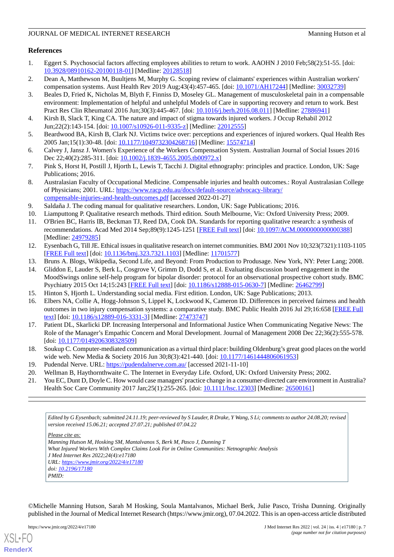### **References**

- <span id="page-6-0"></span>1. Eggert S. Psychosocial factors affecting employees abilities to return to work. AAOHN J 2010 Feb;58(2):51-55. [doi: [10.3928/08910162-20100118-01](http://dx.doi.org/10.3928/08910162-20100118-01)] [Medline: [20128518](http://www.ncbi.nlm.nih.gov/entrez/query.fcgi?cmd=Retrieve&db=PubMed&list_uids=20128518&dopt=Abstract)]
- <span id="page-6-2"></span><span id="page-6-1"></span>2. Dean A, Matthewson M, Buultjens M, Murphy G. Scoping review of claimants' experiences within Australian workers' compensation systems. Aust Health Rev 2019 Aug;43(4):457-465. [doi: [10.1071/AH17244\]](http://dx.doi.org/10.1071/AH17244) [Medline: [30032739](http://www.ncbi.nlm.nih.gov/entrez/query.fcgi?cmd=Retrieve&db=PubMed&list_uids=30032739&dopt=Abstract)]
- 3. Beales D, Fried K, Nicholas M, Blyth F, Finniss D, Moseley GL. Management of musculoskeletal pain in a compensable environment: Implementation of helpful and unhelpful Models of Care in supporting recovery and return to work. Best Pract Res Clin Rheumatol 2016 Jun;30(3):445-467. [doi: [10.1016/j.berh.2016.08.011](http://dx.doi.org/10.1016/j.berh.2016.08.011)] [Medline: [27886941](http://www.ncbi.nlm.nih.gov/entrez/query.fcgi?cmd=Retrieve&db=PubMed&list_uids=27886941&dopt=Abstract)]
- <span id="page-6-4"></span><span id="page-6-3"></span>4. Kirsh B, Slack T, King CA. The nature and impact of stigma towards injured workers. J Occup Rehabil 2012 Jun;22(2):143-154. [doi: [10.1007/s10926-011-9335-z\]](http://dx.doi.org/10.1007/s10926-011-9335-z) [Medline: [22012555\]](http://www.ncbi.nlm.nih.gov/entrez/query.fcgi?cmd=Retrieve&db=PubMed&list_uids=22012555&dopt=Abstract)
- <span id="page-6-5"></span>5. Beardwood BA, Kirsh B, Clark NJ. Victims twice over: perceptions and experiences of injured workers. Qual Health Res 2005 Jan;15(1):30-48. [doi: [10.1177/1049732304268716\]](http://dx.doi.org/10.1177/1049732304268716) [Medline: [15574714](http://www.ncbi.nlm.nih.gov/entrez/query.fcgi?cmd=Retrieve&db=PubMed&list_uids=15574714&dopt=Abstract)]
- <span id="page-6-6"></span>6. Calvey J, Jansz J. Women's Experience of the Workers Compensation System. Australian Journal of Social Issues 2016 Dec 22:40(2):285-311. [doi: [10.1002/j.1839-4655.2005.tb00972.x](http://dx.doi.org/10.1002/j.1839-4655.2005.tb00972.x)]
- <span id="page-6-7"></span>7. Pink S, Horst H, Postill J, Hjorth L, Lewis T, Tacchi J. Digital ethnography: principles and practice. London, UK: Sage Publications; 2016.
- <span id="page-6-9"></span><span id="page-6-8"></span>8. Australasian Faculty of Occupational Medicine. Compensable injuries and health outcomes.: Royal Australasian College of Physicians; 2001. URL: [https://www.racp.edu.au/docs/default-source/advocacy-library/](https://www.racp.edu.au/docs/default-source/advocacy-library/compensable-injuries-and-health-outcomes.pdf) [compensable-injuries-and-health-outcomes.pdf](https://www.racp.edu.au/docs/default-source/advocacy-library/compensable-injuries-and-health-outcomes.pdf) [accessed 2022-01-27]
- <span id="page-6-10"></span>9. Saldaña J. The coding manual for qualitative researchers. London, UK: Sage Publications; 2016.
- 10. Liamputtong P. Qualitative research methods. Third edition. South Melbourne, Vic: Oxford University Press; 2009.
- <span id="page-6-11"></span>11. O'Brien BC, Harris IB, Beckman TJ, Reed DA, Cook DA. Standards for reporting qualitative research: a synthesis of recommendations. Acad Med 2014 Sep;89(9):1245-1251 [[FREE Full text](https://journals.lww.com/24979285.pmid)] [doi: [10.1097/ACM.0000000000000388\]](http://dx.doi.org/10.1097/ACM.0000000000000388) [Medline: [24979285](http://www.ncbi.nlm.nih.gov/entrez/query.fcgi?cmd=Retrieve&db=PubMed&list_uids=24979285&dopt=Abstract)]
- <span id="page-6-13"></span><span id="page-6-12"></span>12. Eysenbach G, Till JE. Ethical issues in qualitative research on internet communities. BMJ 2001 Nov 10;323(7321):1103-1105 [[FREE Full text](http://europepmc.org/abstract/MED/11701577)] [doi: [10.1136/bmj.323.7321.1103\]](http://dx.doi.org/10.1136/bmj.323.7321.1103) [Medline: [11701577\]](http://www.ncbi.nlm.nih.gov/entrez/query.fcgi?cmd=Retrieve&db=PubMed&list_uids=11701577&dopt=Abstract)
- <span id="page-6-14"></span>13. Bruns A. Blogs, Wikipedia, Second Life, and Beyond: From Production to Produsage. New York, NY: Peter Lang; 2008.
- <span id="page-6-15"></span>14. Gliddon E, Lauder S, Berk L, Cosgrove V, Grimm D, Dodd S, et al. Evaluating discussion board engagement in the MoodSwings online self-help program for bipolar disorder: protocol for an observational prospective cohort study. BMC Psychiatry 2015 Oct 14;15:243 [\[FREE Full text\]](https://bmcpsychiatry.biomedcentral.com/articles/10.1186/s12888-015-0630-7) [doi: [10.1186/s12888-015-0630-7\]](http://dx.doi.org/10.1186/s12888-015-0630-7) [Medline: [26462799\]](http://www.ncbi.nlm.nih.gov/entrez/query.fcgi?cmd=Retrieve&db=PubMed&list_uids=26462799&dopt=Abstract)
- <span id="page-6-16"></span>15. Hinton S, Hjorth L. Understanding social media. First edition. London, UK: Sage Publications; 2013.
- 16. Elbers NA, Collie A, Hogg-Johnson S, Lippel K, Lockwood K, Cameron ID. Differences in perceived fairness and health outcomes in two injury compensation systems: a comparative study. BMC Public Health 2016 Jul 29;16:658 [[FREE Full](https://bmcpublichealth.biomedcentral.com/articles/10.1186/s12889-016-3331-3) [text](https://bmcpublichealth.biomedcentral.com/articles/10.1186/s12889-016-3331-3)] [doi: [10.1186/s12889-016-3331-3\]](http://dx.doi.org/10.1186/s12889-016-3331-3) [Medline: [27473747](http://www.ncbi.nlm.nih.gov/entrez/query.fcgi?cmd=Retrieve&db=PubMed&list_uids=27473747&dopt=Abstract)]
- <span id="page-6-19"></span><span id="page-6-18"></span><span id="page-6-17"></span>17. Patient DL, Skarlicki DP. Increasing Interpersonal and Informational Justice When Communicating Negative News: The Role of the Manager's Empathic Concern and Moral Development. Journal of Management 2008 Dec 22;36(2):555-578. [doi: [10.1177/0149206308328509](http://dx.doi.org/10.1177/0149206308328509)]
- <span id="page-6-20"></span>18. Soukup C. Computer-mediated communication as a virtual third place: building Oldenburg's great good places on the world wide web. New Media & Society 2016 Jun 30;8(3):421-440. [doi: [10.1177/1461444806061953\]](http://dx.doi.org/10.1177/1461444806061953)
- 19. Pudendal Nerve. URL: <https://pudendalnerve.com.au/> [accessed 2021-11-10]
- 20. Wellman B, Haythornthwaite C. The Internet in Everyday Life. Oxford, UK: Oxford University Press; 2002.
- 21. You EC, Dunt D, Doyle C. How would case managers' practice change in a consumer-directed care environment in Australia? Health Soc Care Community 2017 Jan; 25(1): 255-265. [doi: [10.1111/hsc.12303\]](http://dx.doi.org/10.1111/hsc.12303) [Medline: [26500161\]](http://www.ncbi.nlm.nih.gov/entrez/query.fcgi?cmd=Retrieve&db=PubMed&list_uids=26500161&dopt=Abstract)

*Edited by G Eysenbach; submitted 24.11.19; peer-reviewed by S Lauder, R Drake, Y Wang, S Li; comments to author 24.08.20; revised version received 15.06.21; accepted 27.07.21; published 07.04.22*

*Please cite as:*

```
Manning Hutson M, Hosking SM, Mantalvanos S, Berk M, Pasco J, Dunning T
What Injured Workers With Complex Claims Look For in Online Communities: Netnographic Analysis
J Med Internet Res 2022;24(4):e17180
URL: https://www.jmir.org/2022/4/e17180
doi: 10.2196/17180
PMID:
```
©Michelle Manning Hutson, Sarah M Hosking, Soula Mantalvanos, Michael Berk, Julie Pasco, Trisha Dunning. Originally published in the Journal of Medical Internet Research (https://www.jmir.org), 07.04.2022. This is an open-access article distributed

[XSL](http://www.w3.org/Style/XSL)•FO **[RenderX](http://www.renderx.com/)**